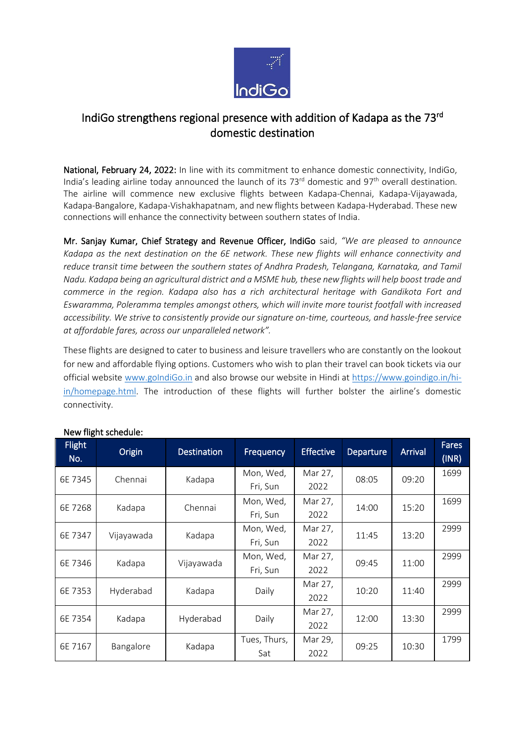

## IndiGo strengthens regional presence with addition of Kadapa as the 73rd domestic destination

National, February 24, 2022: In line with its commitment to enhance domestic connectivity, IndiGo, India's leading airline today announced the launch of its  $73<sup>rd</sup>$  domestic and  $97<sup>th</sup>$  overall destination. The airline will commence new exclusive flights between Kadapa-Chennai, Kadapa-Vijayawada, Kadapa-Bangalore, Kadapa-Vishakhapatnam, and new flights between Kadapa-Hyderabad. These new connections will enhance the connectivity between southern states of India.

Mr. Sanjay Kumar, Chief Strategy and Revenue Officer, IndiGo said, *"We are pleased to announce Kadapa as the next destination on the 6E network. These new flights will enhance connectivity and reduce transit time between the southern states of Andhra Pradesh, Telangana, Karnataka, and Tamil Nadu. Kadapa being an agricultural district and a MSME hub, these new flights will help boost trade and commerce in the region. Kadapa also has a rich architectural heritage with Gandikota Fort and Eswaramma, Poleramma temples amongst others, which will invite more tourist footfall with increased accessibility. We strive to consistently provide our signature on-time, courteous, and hassle-free service at affordable fares, across our unparalleled network".*

These flights are designed to cater to business and leisure travellers who are constantly on the lookout for new and affordable flying options. Customers who wish to plan their travel can book tickets via our official website [www.goIndiGo.in](https://urldefense.com/v3/__http:/www.goindigo.in__;!!Gajz09w!VqoFOcQ4stgjcpah74-9pstISTFS6WEGh0wsT8Eu55-cMnZeI_M3J29NsGmxui6aD5v2bQly$) and also browse our website in Hindi at [https://www.goindigo.in/hi](https://urldefense.com/v3/__https:/www.goindigo.in/hi-in/homepage.html__;!!Gajz09w!VqoFOcQ4stgjcpah74-9pstISTFS6WEGh0wsT8Eu55-cMnZeI_M3J29NsGmxui6aD1CR6XE4$)[in/homepage.html](https://urldefense.com/v3/__https:/www.goindigo.in/hi-in/homepage.html__;!!Gajz09w!VqoFOcQ4stgjcpah74-9pstISTFS6WEGh0wsT8Eu55-cMnZeI_M3J29NsGmxui6aD1CR6XE4$). The introduction of these flights will further bolster the airline's domestic connectivity.

| <b>Flight</b><br>No. | Origin     | <b>Destination</b> | Frequency    | <b>Effective</b> | Departure | Arrival | <b>Fares</b><br>(INR) |
|----------------------|------------|--------------------|--------------|------------------|-----------|---------|-----------------------|
| 6E 7345              | Chennai    | Kadapa             | Mon, Wed,    | Mar 27,          | 08:05     | 09:20   | 1699                  |
|                      |            |                    | Fri, Sun     | 2022             |           |         |                       |
| 6E 7268              | Kadapa     | Chennai            | Mon, Wed,    | Mar 27,          | 14:00     | 15:20   | 1699                  |
|                      |            |                    | Fri, Sun     | 2022             |           |         |                       |
| 6E 7347              | Vijayawada | Kadapa             | Mon, Wed,    | Mar 27,          | 11:45     | 13:20   | 2999                  |
|                      |            |                    | Fri, Sun     | 2022             |           |         |                       |
| 6E 7346              | Kadapa     | Vijayawada         | Mon, Wed,    | Mar 27,          | 09:45     | 11:00   | 2999                  |
|                      |            |                    | Fri, Sun     | 2022             |           |         |                       |
| 6E 7353              | Hyderabad  | Kadapa             | Daily        | Mar 27,          | 10:20     | 11:40   | 2999                  |
|                      |            |                    |              | 2022             |           |         |                       |
| 6E 7354              | Kadapa     | Hyderabad          | Daily        | Mar 27,          | 12:00     | 13:30   | 2999                  |
|                      |            |                    |              | 2022             |           |         |                       |
| 6E 7167              | Bangalore  | Kadapa             | Tues, Thurs, | Mar 29,          | 09:25     | 10:30   | 1799                  |
|                      |            |                    | Sat          | 2022             |           |         |                       |

## New flight schedule: